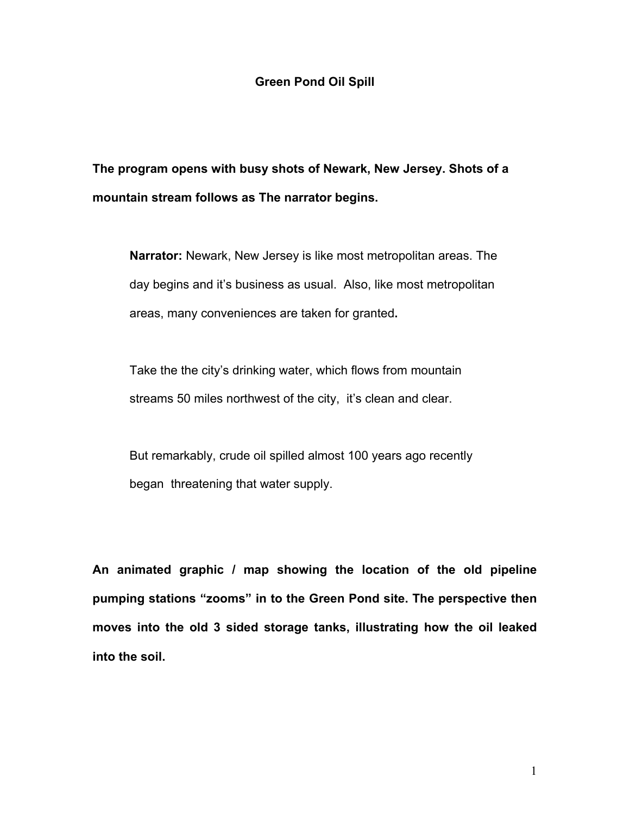## **Green Pond Oil Spill**

**The program opens with busy shots of Newark, New Jersey. Shots of a mountain stream follows as The narrator begins.** 

**Narrator:** Newark, New Jersey is like most metropolitan areas. The day begins and it's business as usual. Also, like most metropolitan areas, many conveniences are taken for granted**.**

Take the the city's drinking water, which flows from mountain streams 50 miles northwest of the city, it's clean and clear.

But remarkably, crude oil spilled almost 100 years ago recently began threatening that water supply.

**An animated graphic / map showing the location of the old pipeline**  pumping stations "zooms" in to the Green Pond site. The perspective then **moves into the old 3 sided storage tanks, illustrating how the oil leaked into the soil.**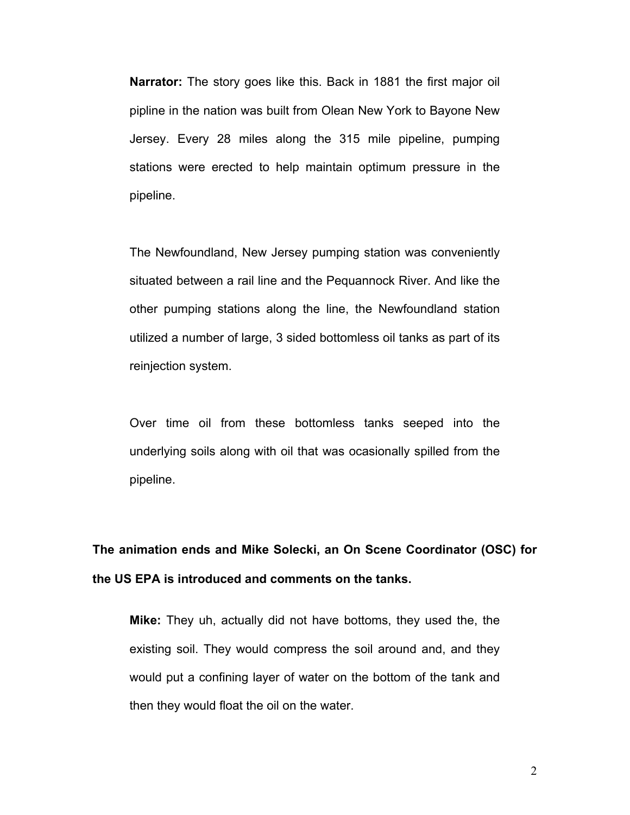**Narrator:** The story goes like this. Back in 1881 the first major oil pipline in the nation was built from Olean New York to Bayone New Jersey. Every 28 miles along the 315 mile pipeline, pumping stations were erected to help maintain optimum pressure in the pipeline.

The Newfoundland, New Jersey pumping station was conveniently situated between a rail line and the Pequannock River. And like the other pumping stations along the line, the Newfoundland station utilized a number of large, 3 sided bottomless oil tanks as part of its reinjection system.

Over time oil from these bottomless tanks seeped into the underlying soils along with oil that was ocasionally spilled from the pipeline.

**The animation ends and Mike Solecki, an On Scene Coordinator (OSC) for the US EPA is introduced and comments on the tanks.** 

**Mike:** They uh, actually did not have bottoms, they used the, the existing soil. They would compress the soil around and, and they would put a confining layer of water on the bottom of the tank and then they would float the oil on the water.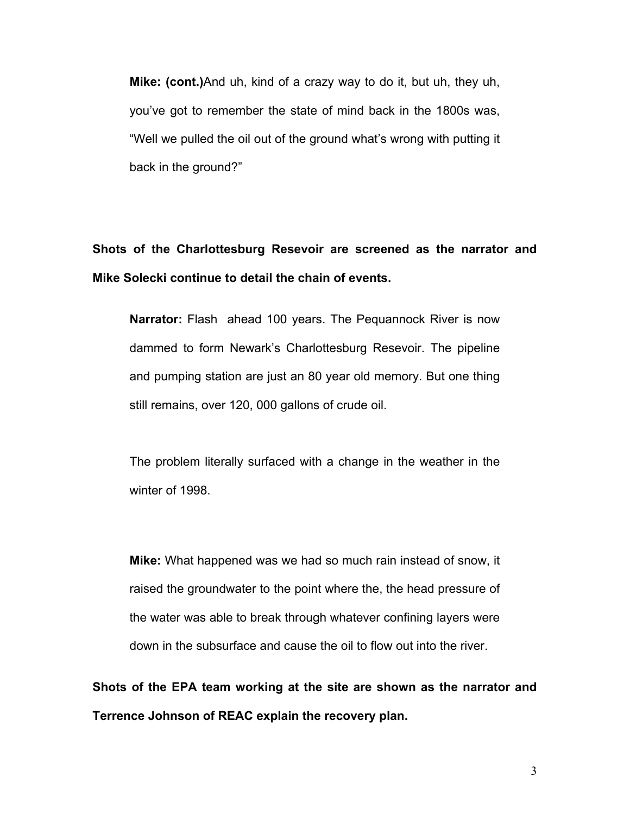**Mike: (cont.)**And uh, kind of a crazy way to do it, but uh, they uh, youíve got to remember the state of mind back in the 1800s was, "Well we pulled the oil out of the ground what's wrong with putting it back in the ground?"

**Shots of the Charlottesburg Resevoir are screened as the narrator and Mike Solecki continue to detail the chain of events.** 

**Narrator:** Flash ahead 100 years. The Pequannock River is now dammed to form Newarkís Charlottesburg Resevoir. The pipeline and pumping station are just an 80 year old memory. But one thing still remains, over 120, 000 gallons of crude oil.

The problem literally surfaced with a change in the weather in the winter of 1998.

**Mike:** What happened was we had so much rain instead of snow, it raised the groundwater to the point where the, the head pressure of the water was able to break through whatever confining layers were down in the subsurface and cause the oil to flow out into the river.

**Shots of the EPA team working at the site are shown as the narrator and Terrence Johnson of REAC explain the recovery plan.**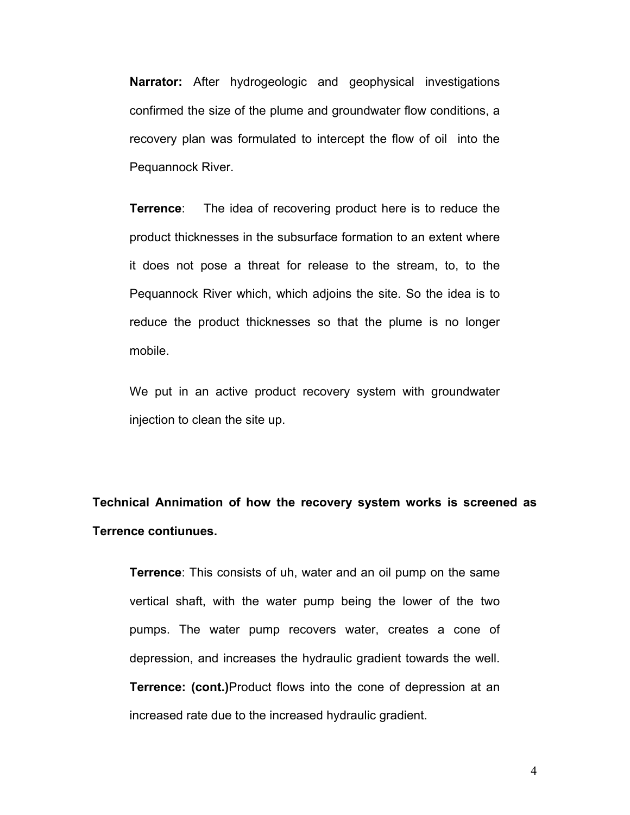**Narrator:** After hydrogeologic and geophysical investigations confirmed the size of the plume and groundwater flow conditions, a recovery plan was formulated to intercept the flow of oil into the Pequannock River.

**Terrence**: The idea of recovering product here is to reduce the product thicknesses in the subsurface formation to an extent where it does not pose a threat for release to the stream, to, to the Pequannock River which, which adjoins the site. So the idea is to reduce the product thicknesses so that the plume is no longer mobile.

We put in an active product recovery system with groundwater injection to clean the site up.

**Technical Annimation of how the recovery system works is screened as Terrence contiunues.**

**Terrence**: This consists of uh, water and an oil pump on the same vertical shaft, with the water pump being the lower of the two pumps. The water pump recovers water, creates a cone of depression, and increases the hydraulic gradient towards the well. **Terrence: (cont.)**Product flows into the cone of depression at an increased rate due to the increased hydraulic gradient.

4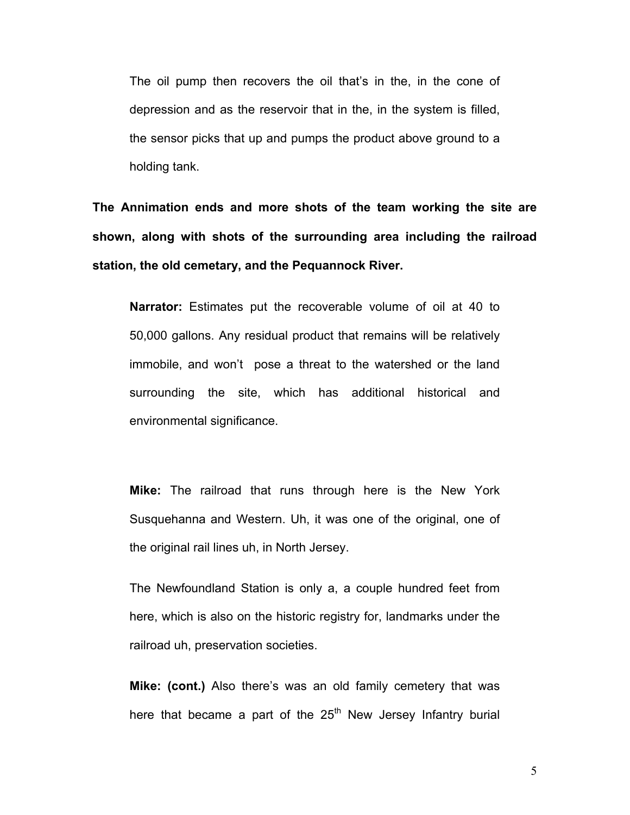The oil pump then recovers the oil that's in the, in the cone of depression and as the reservoir that in the, in the system is filled, the sensor picks that up and pumps the product above ground to a holding tank.

**The Annimation ends and more shots of the team working the site are shown, along with shots of the surrounding area including the railroad station, the old cemetary, and the Pequannock River.** 

**Narrator:** Estimates put the recoverable volume of oil at 40 to 50,000 gallons. Any residual product that remains will be relatively immobile, and won't pose a threat to the watershed or the land surrounding the site, which has additional historical and environmental significance.

**Mike:** The railroad that runs through here is the New York Susquehanna and Western. Uh, it was one of the original, one of the original rail lines uh, in North Jersey.

The Newfoundland Station is only a, a couple hundred feet from here, which is also on the historic registry for, landmarks under the railroad uh, preservation societies.

**Mike: (cont.)** Also there's was an old family cemetery that was here that became a part of the  $25<sup>th</sup>$  New Jersey Infantry burial

5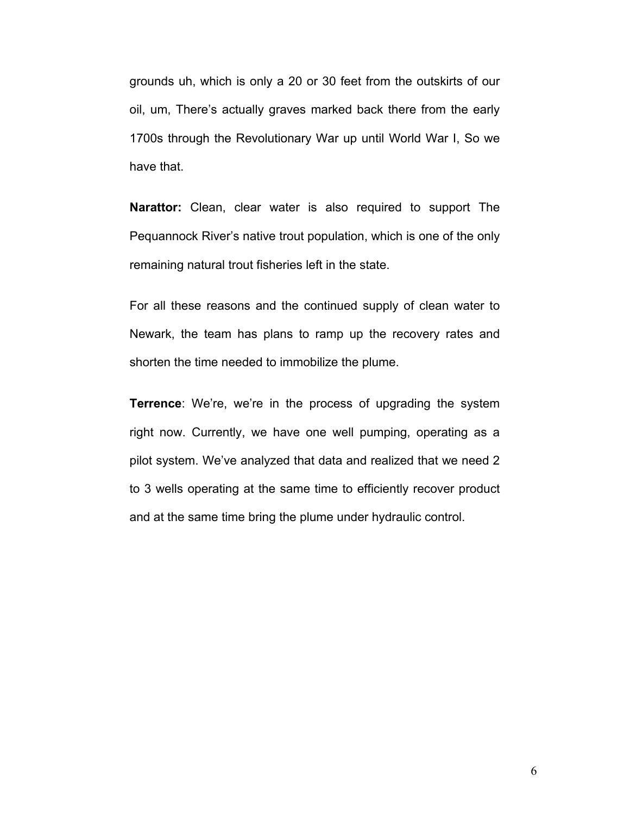grounds uh, which is only a 20 or 30 feet from the outskirts of our oil, um, There's actually graves marked back there from the early 1700s through the Revolutionary War up until World War I, So we have that.

**Narattor:** Clean, clear water is also required to support The Pequannock River's native trout population, which is one of the only remaining natural trout fisheries left in the state.

For all these reasons and the continued supply of clean water to Newark, the team has plans to ramp up the recovery rates and shorten the time needed to immobilize the plume.

**Terrence**: We're, we're in the process of upgrading the system right now. Currently, we have one well pumping, operating as a pilot system. We've analyzed that data and realized that we need 2 to 3 wells operating at the same time to efficiently recover product and at the same time bring the plume under hydraulic control.